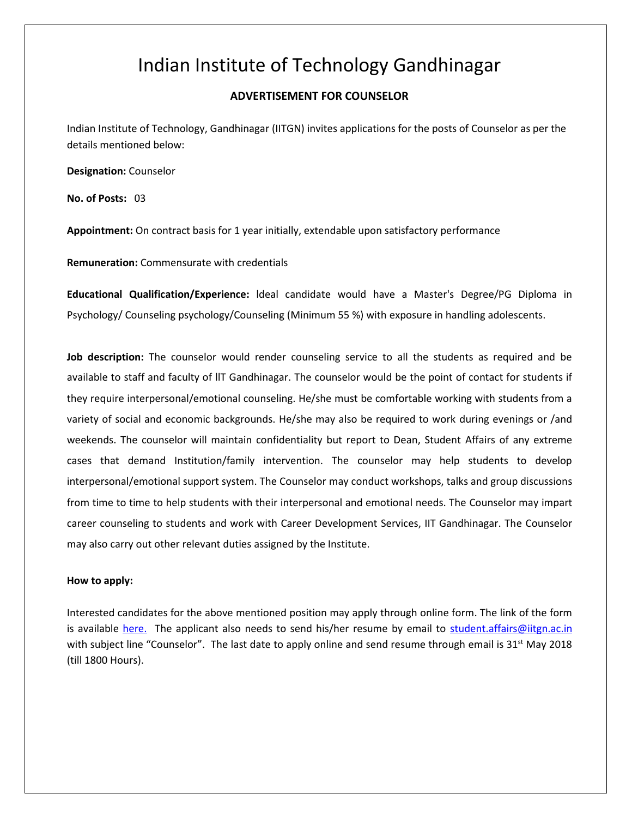## Indian Institute of Technology Gandhinagar

## **ADVERTISEMENT FOR COUNSELOR**

Indian Institute of Technology, Gandhinagar (IITGN) invites applications for the posts of Counselor as per the details mentioned below:

**Designation:** Counselor

**No. of Posts:** 03

**Appointment:** On contract basis for 1 year initially, extendable upon satisfactory performance

**Remuneration:** Commensurate with credentials

**Educational Qualification/Experience:** ldeal candidate would have a Master's Degree/PG Diploma in Psychology/ Counseling psychology/Counseling (Minimum 55 %) with exposure in handling adolescents.

**Job description:** The counselor would render counseling service to all the students as required and be available to staff and faculty of llT Gandhinagar. The counselor would be the point of contact for students if they require interpersonal/emotional counseling. He/she must be comfortable working with students from a variety of social and economic backgrounds. He/she may also be required to work during evenings or /and weekends. The counselor will maintain confidentiality but report to Dean, Student Affairs of any extreme cases that demand Institution/family intervention. The counselor may help students to develop interpersonal/emotional support system. The Counselor may conduct workshops, talks and group discussions from time to time to help students with their interpersonal and emotional needs. The Counselor may impart career counseling to students and work with Career Development Services, IIT Gandhinagar. The Counselor may also carry out other relevant duties assigned by the Institute.

## **How to apply:**

Interested candidates for the above mentioned position may apply through online form. The link of the form is available [here.](https://goo.gl/forms/HZ6SkLgcZB2B10Hn1) The applicant also needs to send his/her resume by email to [student.affairs@iitgn.ac.in](mailto:student.affairs@iitgn.ac.in) with subject line "Counselor". The last date to apply online and send resume through email is  $31<sup>st</sup>$  May 2018 (till 1800 Hours).